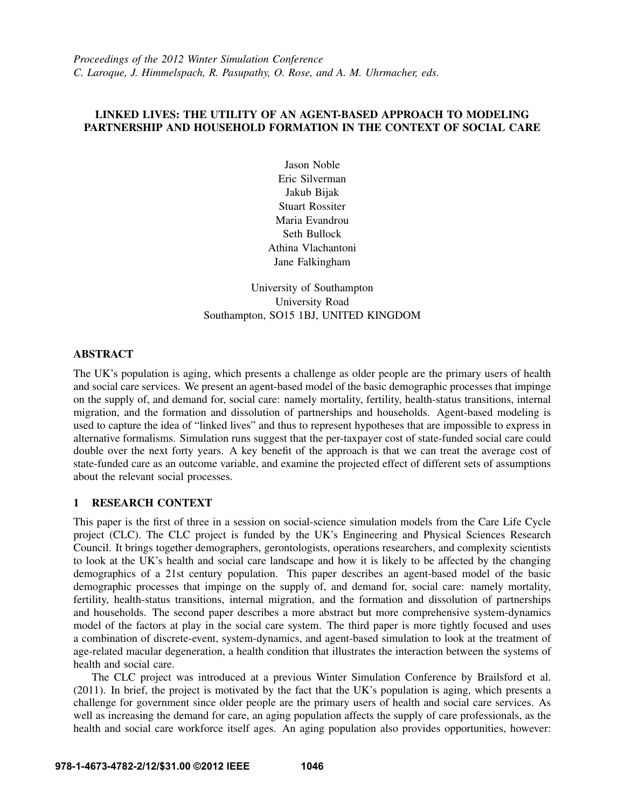*Proceedings of the 2012 Winter Simulation Conference C. Laroque, J. Himmelspach, R. Pasupathy, O. Rose, and A. M. Uhrmacher, eds.*

# LINKED LIVES: THE UTILITY OF AN AGENT-BASED APPROACH TO MODELING PARTNERSHIP AND HOUSEHOLD FORMATION IN THE CONTEXT OF SOCIAL CARE

Jason Noble Eric Silverman Jakub Bijak Stuart Rossiter Maria Evandrou Seth Bullock Athina Vlachantoni Jane Falkingham

University of Southampton University Road Southampton, SO15 1BJ, UNITED KINGDOM

# ABSTRACT

The UK's population is aging, which presents a challenge as older people are the primary users of health and social care services. We present an agent-based model of the basic demographic processes that impinge on the supply of, and demand for, social care: namely mortality, fertility, health-status transitions, internal migration, and the formation and dissolution of partnerships and households. Agent-based modeling is used to capture the idea of "linked lives" and thus to represent hypotheses that are impossible to express in alternative formalisms. Simulation runs suggest that the per-taxpayer cost of state-funded social care could double over the next forty years. A key benefit of the approach is that we can treat the average cost of state-funded care as an outcome variable, and examine the projected effect of different sets of assumptions about the relevant social processes.

# 1 RESEARCH CONTEXT

This paper is the first of three in a session on social-science simulation models from the Care Life Cycle project (CLC). The CLC project is funded by the UK's Engineering and Physical Sciences Research Council. It brings together demographers, gerontologists, operations researchers, and complexity scientists to look at the UK's health and social care landscape and how it is likely to be affected by the changing demographics of a 21st century population. This paper describes an agent-based model of the basic demographic processes that impinge on the supply of, and demand for, social care: namely mortality, fertility, health-status transitions, internal migration, and the formation and dissolution of partnerships and households. The second paper describes a more abstract but more comprehensive system-dynamics model of the factors at play in the social care system. The third paper is more tightly focused and uses a combination of discrete-event, system-dynamics, and agent-based simulation to look at the treatment of age-related macular degeneration, a health condition that illustrates the interaction between the systems of health and social care.

The CLC project was introduced at a previous Winter Simulation Conference by Brailsford et al. (2011). In brief, the project is motivated by the fact that the UK's population is aging, which presents a challenge for government since older people are the primary users of health and social care services. As well as increasing the demand for care, an aging population affects the supply of care professionals, as the health and social care workforce itself ages. An aging population also provides opportunities, however: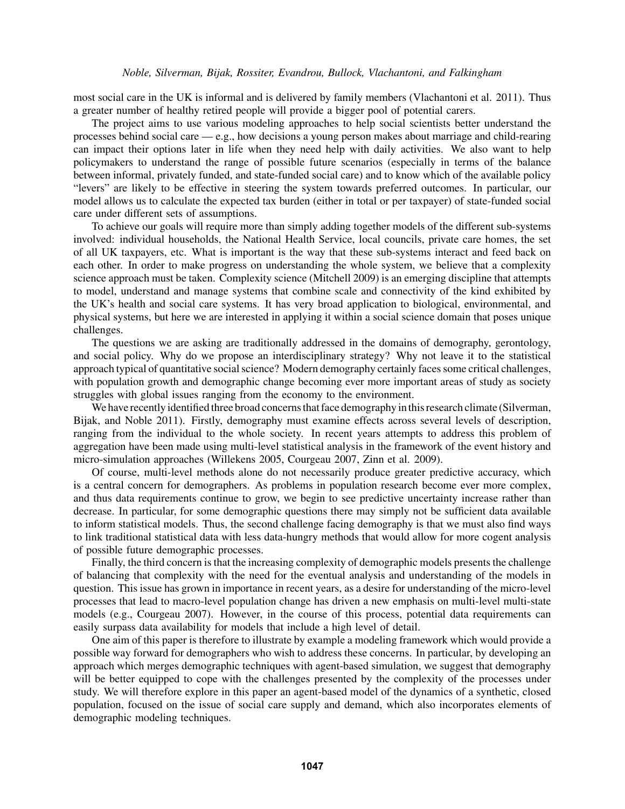most social care in the UK is informal and is delivered by family members (Vlachantoni et al. 2011). Thus a greater number of healthy retired people will provide a bigger pool of potential carers.

The project aims to use various modeling approaches to help social scientists better understand the processes behind social care — e.g., how decisions a young person makes about marriage and child-rearing can impact their options later in life when they need help with daily activities. We also want to help policymakers to understand the range of possible future scenarios (especially in terms of the balance between informal, privately funded, and state-funded social care) and to know which of the available policy "levers" are likely to be effective in steering the system towards preferred outcomes. In particular, our model allows us to calculate the expected tax burden (either in total or per taxpayer) of state-funded social care under different sets of assumptions.

To achieve our goals will require more than simply adding together models of the different sub-systems involved: individual households, the National Health Service, local councils, private care homes, the set of all UK taxpayers, etc. What is important is the way that these sub-systems interact and feed back on each other. In order to make progress on understanding the whole system, we believe that a complexity science approach must be taken. Complexity science (Mitchell 2009) is an emerging discipline that attempts to model, understand and manage systems that combine scale and connectivity of the kind exhibited by the UK's health and social care systems. It has very broad application to biological, environmental, and physical systems, but here we are interested in applying it within a social science domain that poses unique challenges.

The questions we are asking are traditionally addressed in the domains of demography, gerontology, and social policy. Why do we propose an interdisciplinary strategy? Why not leave it to the statistical approach typical of quantitative social science? Modern demography certainly faces some critical challenges, with population growth and demographic change becoming ever more important areas of study as society struggles with global issues ranging from the economy to the environment.

We have recently identified three broad concerns that face demography in this research climate (Silverman, Bijak, and Noble 2011). Firstly, demography must examine effects across several levels of description, ranging from the individual to the whole society. In recent years attempts to address this problem of aggregation have been made using multi-level statistical analysis in the framework of the event history and micro-simulation approaches (Willekens 2005, Courgeau 2007, Zinn et al. 2009).

Of course, multi-level methods alone do not necessarily produce greater predictive accuracy, which is a central concern for demographers. As problems in population research become ever more complex, and thus data requirements continue to grow, we begin to see predictive uncertainty increase rather than decrease. In particular, for some demographic questions there may simply not be sufficient data available to inform statistical models. Thus, the second challenge facing demography is that we must also find ways to link traditional statistical data with less data-hungry methods that would allow for more cogent analysis of possible future demographic processes.

Finally, the third concern is that the increasing complexity of demographic models presents the challenge of balancing that complexity with the need for the eventual analysis and understanding of the models in question. This issue has grown in importance in recent years, as a desire for understanding of the micro-level processes that lead to macro-level population change has driven a new emphasis on multi-level multi-state models (e.g., Courgeau 2007). However, in the course of this process, potential data requirements can easily surpass data availability for models that include a high level of detail.

One aim of this paper is therefore to illustrate by example a modeling framework which would provide a possible way forward for demographers who wish to address these concerns. In particular, by developing an approach which merges demographic techniques with agent-based simulation, we suggest that demography will be better equipped to cope with the challenges presented by the complexity of the processes under study. We will therefore explore in this paper an agent-based model of the dynamics of a synthetic, closed population, focused on the issue of social care supply and demand, which also incorporates elements of demographic modeling techniques.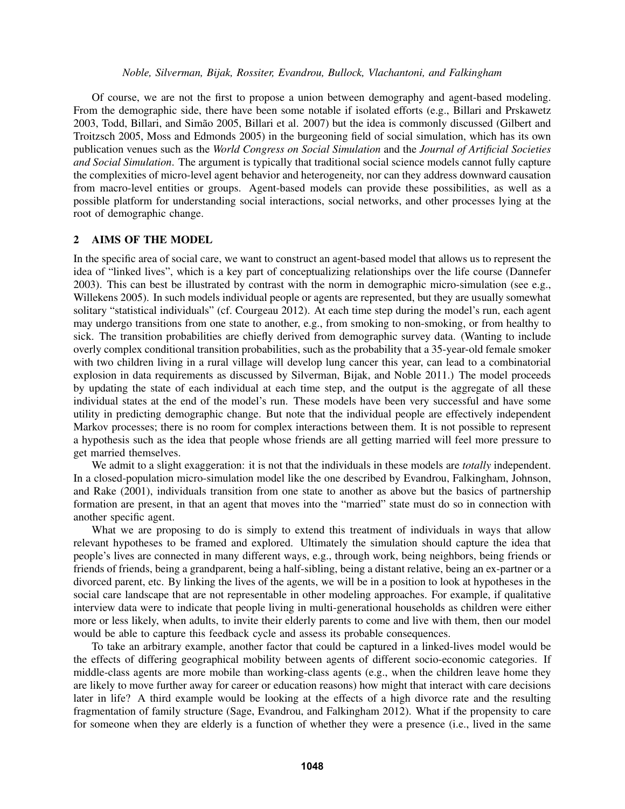Of course, we are not the first to propose a union between demography and agent-based modeling. From the demographic side, there have been some notable if isolated efforts (e.g., Billari and Prskawetz 2003, Todd, Billari, and Simão 2005, Billari et al. 2007) but the idea is commonly discussed (Gilbert and Troitzsch 2005, Moss and Edmonds 2005) in the burgeoning field of social simulation, which has its own publication venues such as the *World Congress on Social Simulation* and the *Journal of Artificial Societies and Social Simulation*. The argument is typically that traditional social science models cannot fully capture the complexities of micro-level agent behavior and heterogeneity, nor can they address downward causation from macro-level entities or groups. Agent-based models can provide these possibilities, as well as a possible platform for understanding social interactions, social networks, and other processes lying at the root of demographic change.

#### 2 AIMS OF THE MODEL

In the specific area of social care, we want to construct an agent-based model that allows us to represent the idea of "linked lives", which is a key part of conceptualizing relationships over the life course (Dannefer 2003). This can best be illustrated by contrast with the norm in demographic micro-simulation (see e.g., Willekens 2005). In such models individual people or agents are represented, but they are usually somewhat solitary "statistical individuals" (cf. Courgeau 2012). At each time step during the model's run, each agent may undergo transitions from one state to another, e.g., from smoking to non-smoking, or from healthy to sick. The transition probabilities are chiefly derived from demographic survey data. (Wanting to include overly complex conditional transition probabilities, such as the probability that a 35-year-old female smoker with two children living in a rural village will develop lung cancer this year, can lead to a combinatorial explosion in data requirements as discussed by Silverman, Bijak, and Noble 2011.) The model proceeds by updating the state of each individual at each time step, and the output is the aggregate of all these individual states at the end of the model's run. These models have been very successful and have some utility in predicting demographic change. But note that the individual people are effectively independent Markov processes; there is no room for complex interactions between them. It is not possible to represent a hypothesis such as the idea that people whose friends are all getting married will feel more pressure to get married themselves.

We admit to a slight exaggeration: it is not that the individuals in these models are *totally* independent. In a closed-population micro-simulation model like the one described by Evandrou, Falkingham, Johnson, and Rake (2001), individuals transition from one state to another as above but the basics of partnership formation are present, in that an agent that moves into the "married" state must do so in connection with another specific agent.

What we are proposing to do is simply to extend this treatment of individuals in ways that allow relevant hypotheses to be framed and explored. Ultimately the simulation should capture the idea that people's lives are connected in many different ways, e.g., through work, being neighbors, being friends or friends of friends, being a grandparent, being a half-sibling, being a distant relative, being an ex-partner or a divorced parent, etc. By linking the lives of the agents, we will be in a position to look at hypotheses in the social care landscape that are not representable in other modeling approaches. For example, if qualitative interview data were to indicate that people living in multi-generational households as children were either more or less likely, when adults, to invite their elderly parents to come and live with them, then our model would be able to capture this feedback cycle and assess its probable consequences.

To take an arbitrary example, another factor that could be captured in a linked-lives model would be the effects of differing geographical mobility between agents of different socio-economic categories. If middle-class agents are more mobile than working-class agents (e.g., when the children leave home they are likely to move further away for career or education reasons) how might that interact with care decisions later in life? A third example would be looking at the effects of a high divorce rate and the resulting fragmentation of family structure (Sage, Evandrou, and Falkingham 2012). What if the propensity to care for someone when they are elderly is a function of whether they were a presence (i.e., lived in the same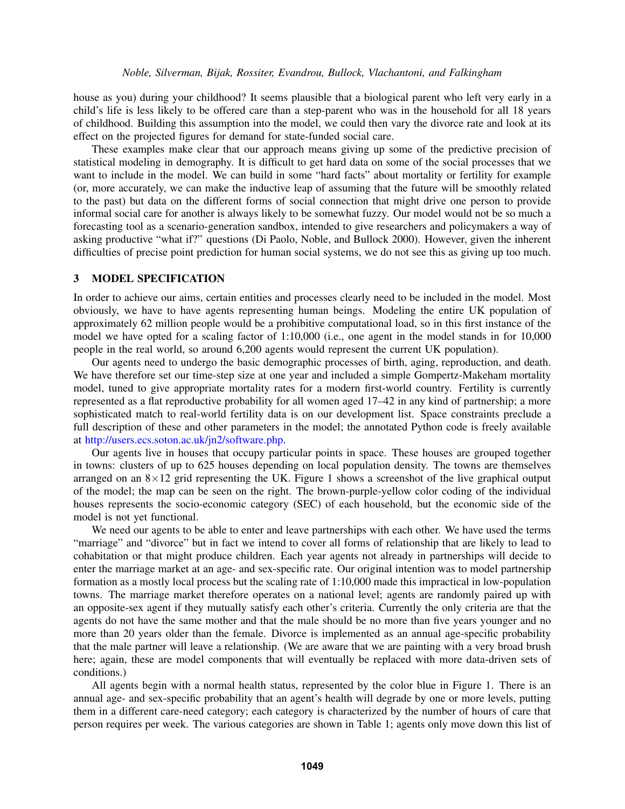house as you) during your childhood? It seems plausible that a biological parent who left very early in a child's life is less likely to be offered care than a step-parent who was in the household for all 18 years of childhood. Building this assumption into the model, we could then vary the divorce rate and look at its effect on the projected figures for demand for state-funded social care.

These examples make clear that our approach means giving up some of the predictive precision of statistical modeling in demography. It is difficult to get hard data on some of the social processes that we want to include in the model. We can build in some "hard facts" about mortality or fertility for example (or, more accurately, we can make the inductive leap of assuming that the future will be smoothly related to the past) but data on the different forms of social connection that might drive one person to provide informal social care for another is always likely to be somewhat fuzzy. Our model would not be so much a forecasting tool as a scenario-generation sandbox, intended to give researchers and policymakers a way of asking productive "what if?" questions (Di Paolo, Noble, and Bullock 2000). However, given the inherent difficulties of precise point prediction for human social systems, we do not see this as giving up too much.

#### 3 MODEL SPECIFICATION

In order to achieve our aims, certain entities and processes clearly need to be included in the model. Most obviously, we have to have agents representing human beings. Modeling the entire UK population of approximately 62 million people would be a prohibitive computational load, so in this first instance of the model we have opted for a scaling factor of 1:10,000 (i.e., one agent in the model stands in for 10,000 people in the real world, so around 6,200 agents would represent the current UK population).

Our agents need to undergo the basic demographic processes of birth, aging, reproduction, and death. We have therefore set our time-step size at one year and included a simple Gompertz-Makeham mortality model, tuned to give appropriate mortality rates for a modern first-world country. Fertility is currently represented as a flat reproductive probability for all women aged 17–42 in any kind of partnership; a more sophisticated match to real-world fertility data is on our development list. Space constraints preclude a full description of these and other parameters in the model; the annotated Python code is freely available at http://users.ecs.soton.ac.uk/jn2/software.php.

Our agents live in houses that occupy particular points in space. These houses are grouped together in towns: clusters of up to 625 houses depending on local population density. The towns are themselves arranged on an  $8\times12$  grid representing the UK. Figure 1 shows a screenshot of the live graphical output of the model; the map can be seen on the right. The brown-purple-yellow color coding of the individual houses represents the socio-economic category (SEC) of each household, but the economic side of the model is not yet functional.

We need our agents to be able to enter and leave partnerships with each other. We have used the terms "marriage" and "divorce" but in fact we intend to cover all forms of relationship that are likely to lead to cohabitation or that might produce children. Each year agents not already in partnerships will decide to enter the marriage market at an age- and sex-specific rate. Our original intention was to model partnership formation as a mostly local process but the scaling rate of 1:10,000 made this impractical in low-population towns. The marriage market therefore operates on a national level; agents are randomly paired up with an opposite-sex agent if they mutually satisfy each other's criteria. Currently the only criteria are that the agents do not have the same mother and that the male should be no more than five years younger and no more than 20 years older than the female. Divorce is implemented as an annual age-specific probability that the male partner will leave a relationship. (We are aware that we are painting with a very broad brush here; again, these are model components that will eventually be replaced with more data-driven sets of conditions.)

All agents begin with a normal health status, represented by the color blue in Figure 1. There is an annual age- and sex-specific probability that an agent's health will degrade by one or more levels, putting them in a different care-need category; each category is characterized by the number of hours of care that person requires per week. The various categories are shown in Table 1; agents only move down this list of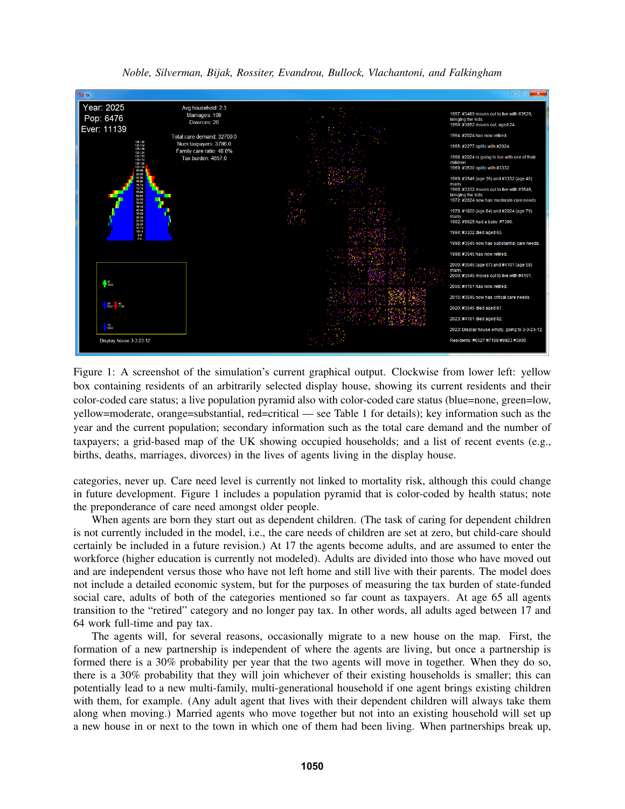

Figure 1: A screenshot of the simulation's current graphical output. Clockwise from lower left: yellow box containing residents of an arbitrarily selected display house, showing its current residents and their color-coded care status; a live population pyramid also with color-coded care status (blue=none, green=low, yellow=moderate, orange=substantial, red=critical — see Table 1 for details); key information such as the year and the current population; secondary information such as the total care demand and the number of taxpayers; a grid-based map of the UK showing occupied households; and a list of recent events (e.g., births, deaths, marriages, divorces) in the lives of agents living in the display house.

categories, never up. Care need level is currently not linked to mortality risk, although this could change in future development. Figure 1 includes a population pyramid that is color-coded by health status; note the preponderance of care need amongst older people.

When agents are born they start out as dependent children. (The task of caring for dependent children is not currently included in the model, i.e., the care needs of children are set at zero, but child-care should certainly be included in a future revision.) At 17 the agents become adults, and are assumed to enter the workforce (higher education is currently not modeled). Adults are divided into those who have moved out and are independent versus those who have not left home and still live with their parents. The model does not include a detailed economic system, but for the purposes of measuring the tax burden of state-funded social care, adults of both of the categories mentioned so far count as taxpayers. At age 65 all agents transition to the "retired" category and no longer pay tax. In other words, all adults aged between 17 and 64 work full-time and pay tax.

The agents will, for several reasons, occasionally migrate to a new house on the map. First, the formation of a new partnership is independent of where the agents are living, but once a partnership is formed there is a 30% probability per year that the two agents will move in together. When they do so, there is a 30% probability that they will join whichever of their existing households is smaller; this can potentially lead to a new multi-family, multi-generational household if one agent brings existing children with them, for example. (Any adult agent that lives with their dependent children will always take them along when moving.) Married agents who move together but not into an existing household will set up a new house in or next to the town in which one of them had been living. When partnerships break up,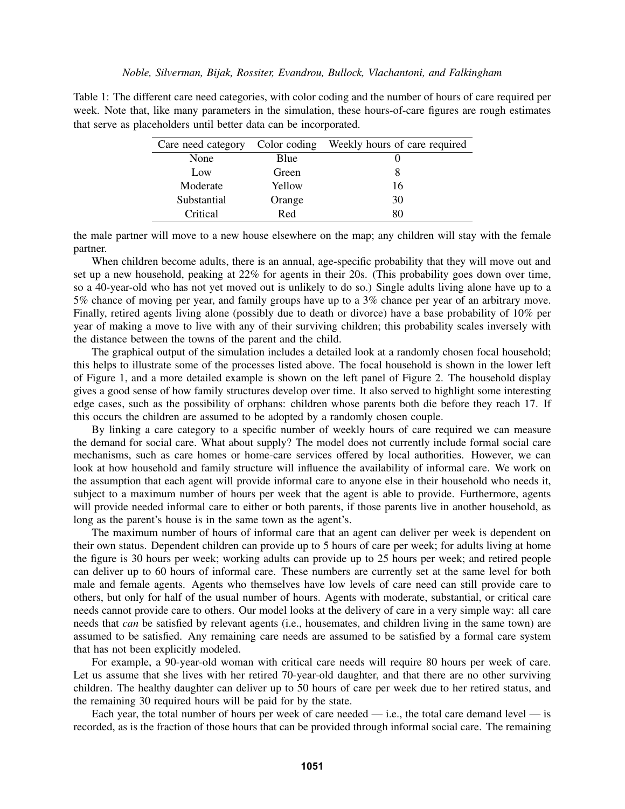Table 1: The different care need categories, with color coding and the number of hours of care required per week. Note that, like many parameters in the simulation, these hours-of-care figures are rough estimates that serve as placeholders until better data can be incorporated.

| Care need category | Color coding | Weekly hours of care required |
|--------------------|--------------|-------------------------------|
| None               | Blue         |                               |
| Low                | Green        |                               |
| Moderate           | Yellow       | 16                            |
| Substantial        | Orange       | 30                            |
| Critical           | Red          | XO                            |

the male partner will move to a new house elsewhere on the map; any children will stay with the female partner.

When children become adults, there is an annual, age-specific probability that they will move out and set up a new household, peaking at 22% for agents in their 20s. (This probability goes down over time, so a 40-year-old who has not yet moved out is unlikely to do so.) Single adults living alone have up to a 5% chance of moving per year, and family groups have up to a 3% chance per year of an arbitrary move. Finally, retired agents living alone (possibly due to death or divorce) have a base probability of 10% per year of making a move to live with any of their surviving children; this probability scales inversely with the distance between the towns of the parent and the child.

The graphical output of the simulation includes a detailed look at a randomly chosen focal household; this helps to illustrate some of the processes listed above. The focal household is shown in the lower left of Figure 1, and a more detailed example is shown on the left panel of Figure 2. The household display gives a good sense of how family structures develop over time. It also served to highlight some interesting edge cases, such as the possibility of orphans: children whose parents both die before they reach 17. If this occurs the children are assumed to be adopted by a randomly chosen couple.

By linking a care category to a specific number of weekly hours of care required we can measure the demand for social care. What about supply? The model does not currently include formal social care mechanisms, such as care homes or home-care services offered by local authorities. However, we can look at how household and family structure will influence the availability of informal care. We work on the assumption that each agent will provide informal care to anyone else in their household who needs it, subject to a maximum number of hours per week that the agent is able to provide. Furthermore, agents will provide needed informal care to either or both parents, if those parents live in another household, as long as the parent's house is in the same town as the agent's.

The maximum number of hours of informal care that an agent can deliver per week is dependent on their own status. Dependent children can provide up to 5 hours of care per week; for adults living at home the figure is 30 hours per week; working adults can provide up to 25 hours per week; and retired people can deliver up to 60 hours of informal care. These numbers are currently set at the same level for both male and female agents. Agents who themselves have low levels of care need can still provide care to others, but only for half of the usual number of hours. Agents with moderate, substantial, or critical care needs cannot provide care to others. Our model looks at the delivery of care in a very simple way: all care needs that *can* be satisfied by relevant agents (i.e., housemates, and children living in the same town) are assumed to be satisfied. Any remaining care needs are assumed to be satisfied by a formal care system that has not been explicitly modeled.

For example, a 90-year-old woman with critical care needs will require 80 hours per week of care. Let us assume that she lives with her retired 70-year-old daughter, and that there are no other surviving children. The healthy daughter can deliver up to 50 hours of care per week due to her retired status, and the remaining 30 required hours will be paid for by the state.

Each year, the total number of hours per week of care needed  $-$  i.e., the total care demand level  $-$  is recorded, as is the fraction of those hours that can be provided through informal social care. The remaining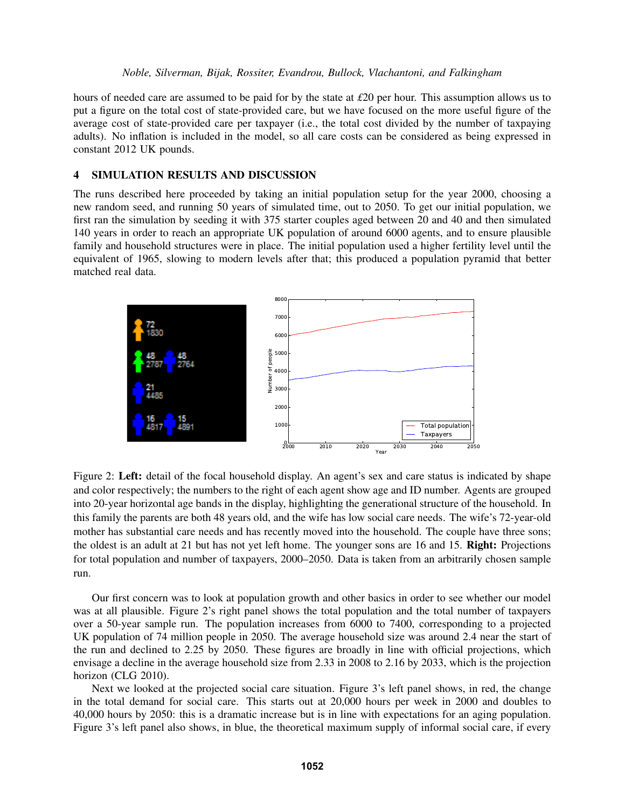hours of needed care are assumed to be paid for by the state at *£*20 per hour. This assumption allows us to put a figure on the total cost of state-provided care, but we have focused on the more useful figure of the average cost of state-provided care per taxpayer (i.e., the total cost divided by the number of taxpaying adults). No inflation is included in the model, so all care costs can be considered as being expressed in constant 2012 UK pounds.

# 4 SIMULATION RESULTS AND DISCUSSION

The runs described here proceeded by taking an initial population setup for the year 2000, choosing a new random seed, and running 50 years of simulated time, out to 2050. To get our initial population, we first ran the simulation by seeding it with 375 starter couples aged between 20 and 40 and then simulated 140 years in order to reach an appropriate UK population of around 6000 agents, and to ensure plausible family and household structures were in place. The initial population used a higher fertility level until the equivalent of 1965, slowing to modern levels after that; this produced a population pyramid that better matched real data.



Figure 2: Left: detail of the focal household display. An agent's sex and care status is indicated by shape and color respectively; the numbers to the right of each agent show age and ID number. Agents are grouped into 20-year horizontal age bands in the display, highlighting the generational structure of the household. In this family the parents are both 48 years old, and the wife has low social care needs. The wife's 72-year-old mother has substantial care needs and has recently moved into the household. The couple have three sons; the oldest is an adult at 21 but has not yet left home. The younger sons are 16 and 15. **Right:** Projections for total population and number of taxpayers, 2000–2050. Data is taken from an arbitrarily chosen sample run.

Our first concern was to look at population growth and other basics in order to see whether our model was at all plausible. Figure 2's right panel shows the total population and the total number of taxpayers over a 50-year sample run. The population increases from 6000 to 7400, corresponding to a projected UK population of 74 million people in 2050. The average household size was around 2.4 near the start of the run and declined to 2.25 by 2050. These figures are broadly in line with official projections, which envisage a decline in the average household size from 2.33 in 2008 to 2.16 by 2033, which is the projection horizon (CLG 2010).

Next we looked at the projected social care situation. Figure 3's left panel shows, in red, the change in the total demand for social care. This starts out at 20,000 hours per week in 2000 and doubles to 40,000 hours by 2050: this is a dramatic increase but is in line with expectations for an aging population. Figure 3's left panel also shows, in blue, the theoretical maximum supply of informal social care, if every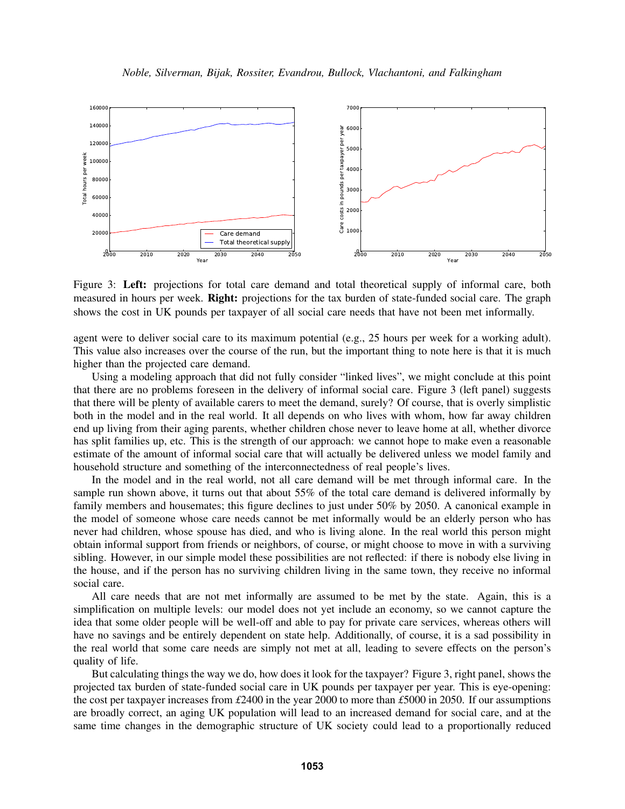

Figure 3: Left: projections for total care demand and total theoretical supply of informal care, both measured in hours per week. Right: projections for the tax burden of state-funded social care. The graph shows the cost in UK pounds per taxpayer of all social care needs that have not been met informally.

agent were to deliver social care to its maximum potential (e.g., 25 hours per week for a working adult). This value also increases over the course of the run, but the important thing to note here is that it is much higher than the projected care demand.

Using a modeling approach that did not fully consider "linked lives", we might conclude at this point that there are no problems foreseen in the delivery of informal social care. Figure 3 (left panel) suggests that there will be plenty of available carers to meet the demand, surely? Of course, that is overly simplistic both in the model and in the real world. It all depends on who lives with whom, how far away children end up living from their aging parents, whether children chose never to leave home at all, whether divorce has split families up, etc. This is the strength of our approach: we cannot hope to make even a reasonable estimate of the amount of informal social care that will actually be delivered unless we model family and household structure and something of the interconnectedness of real people's lives.

In the model and in the real world, not all care demand will be met through informal care. In the sample run shown above, it turns out that about 55% of the total care demand is delivered informally by family members and housemates; this figure declines to just under 50% by 2050. A canonical example in the model of someone whose care needs cannot be met informally would be an elderly person who has never had children, whose spouse has died, and who is living alone. In the real world this person might obtain informal support from friends or neighbors, of course, or might choose to move in with a surviving sibling. However, in our simple model these possibilities are not reflected: if there is nobody else living in the house, and if the person has no surviving children living in the same town, they receive no informal social care.

All care needs that are not met informally are assumed to be met by the state. Again, this is a simplification on multiple levels: our model does not yet include an economy, so we cannot capture the idea that some older people will be well-off and able to pay for private care services, whereas others will have no savings and be entirely dependent on state help. Additionally, of course, it is a sad possibility in the real world that some care needs are simply not met at all, leading to severe effects on the person's quality of life.

But calculating things the way we do, how does it look for the taxpayer? Figure 3, right panel, shows the projected tax burden of state-funded social care in UK pounds per taxpayer per year. This is eye-opening: the cost per taxpayer increases from *£*2400 in the year 2000 to more than *£*5000 in 2050. If our assumptions are broadly correct, an aging UK population will lead to an increased demand for social care, and at the same time changes in the demographic structure of UK society could lead to a proportionally reduced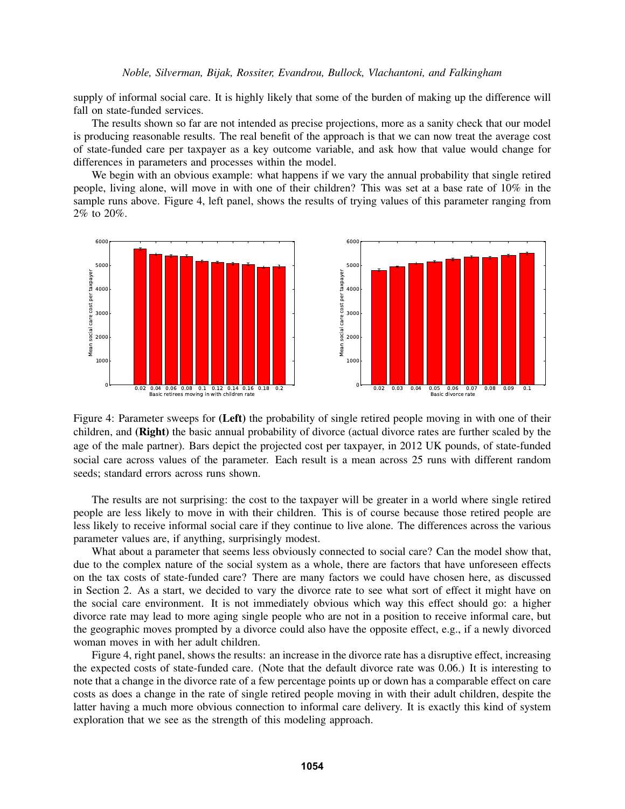supply of informal social care. It is highly likely that some of the burden of making up the difference will fall on state-funded services.

The results shown so far are not intended as precise projections, more as a sanity check that our model is producing reasonable results. The real benefit of the approach is that we can now treat the average cost of state-funded care per taxpayer as a key outcome variable, and ask how that value would change for differences in parameters and processes within the model.

We begin with an obvious example: what happens if we vary the annual probability that single retired people, living alone, will move in with one of their children? This was set at a base rate of 10% in the sample runs above. Figure 4, left panel, shows the results of trying values of this parameter ranging from 2% to 20%.



Figure 4: Parameter sweeps for (Left) the probability of single retired people moving in with one of their children, and (Right) the basic annual probability of divorce (actual divorce rates are further scaled by the age of the male partner). Bars depict the projected cost per taxpayer, in 2012 UK pounds, of state-funded social care across values of the parameter. Each result is a mean across 25 runs with different random seeds; standard errors across runs shown.

The results are not surprising: the cost to the taxpayer will be greater in a world where single retired people are less likely to move in with their children. This is of course because those retired people are less likely to receive informal social care if they continue to live alone. The differences across the various parameter values are, if anything, surprisingly modest.

What about a parameter that seems less obviously connected to social care? Can the model show that, due to the complex nature of the social system as a whole, there are factors that have unforeseen effects on the tax costs of state-funded care? There are many factors we could have chosen here, as discussed in Section 2. As a start, we decided to vary the divorce rate to see what sort of effect it might have on the social care environment. It is not immediately obvious which way this effect should go: a higher divorce rate may lead to more aging single people who are not in a position to receive informal care, but the geographic moves prompted by a divorce could also have the opposite effect, e.g., if a newly divorced woman moves in with her adult children.

Figure 4, right panel, shows the results: an increase in the divorce rate has a disruptive effect, increasing the expected costs of state-funded care. (Note that the default divorce rate was 0.06.) It is interesting to note that a change in the divorce rate of a few percentage points up or down has a comparable effect on care costs as does a change in the rate of single retired people moving in with their adult children, despite the latter having a much more obvious connection to informal care delivery. It is exactly this kind of system exploration that we see as the strength of this modeling approach.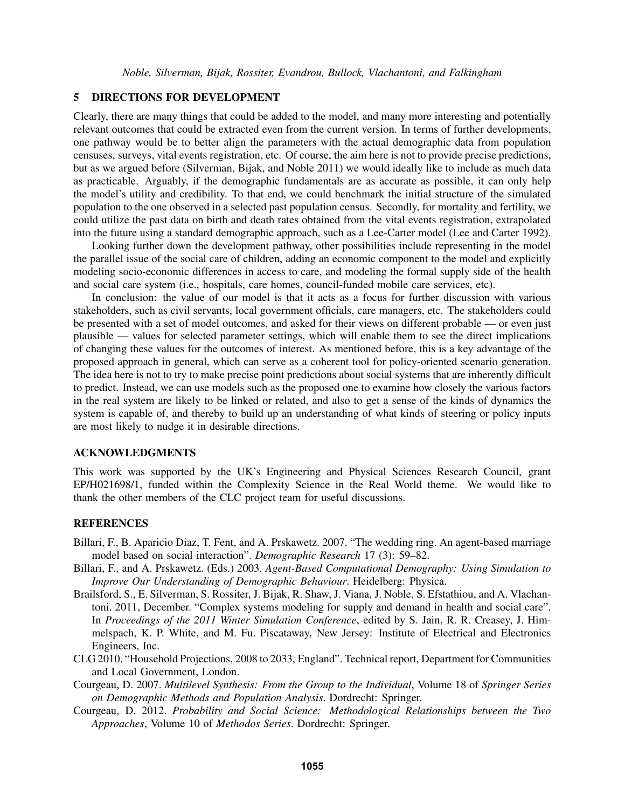### 5 DIRECTIONS FOR DEVELOPMENT

Clearly, there are many things that could be added to the model, and many more interesting and potentially relevant outcomes that could be extracted even from the current version. In terms of further developments, one pathway would be to better align the parameters with the actual demographic data from population censuses, surveys, vital events registration, etc. Of course, the aim here is not to provide precise predictions, but as we argued before (Silverman, Bijak, and Noble 2011) we would ideally like to include as much data as practicable. Arguably, if the demographic fundamentals are as accurate as possible, it can only help the model's utility and credibility. To that end, we could benchmark the initial structure of the simulated population to the one observed in a selected past population census. Secondly, for mortality and fertility, we could utilize the past data on birth and death rates obtained from the vital events registration, extrapolated into the future using a standard demographic approach, such as a Lee-Carter model (Lee and Carter 1992).

Looking further down the development pathway, other possibilities include representing in the model the parallel issue of the social care of children, adding an economic component to the model and explicitly modeling socio-economic differences in access to care, and modeling the formal supply side of the health and social care system (i.e., hospitals, care homes, council-funded mobile care services, etc).

In conclusion: the value of our model is that it acts as a focus for further discussion with various stakeholders, such as civil servants, local government officials, care managers, etc. The stakeholders could be presented with a set of model outcomes, and asked for their views on different probable — or even just plausible — values for selected parameter settings, which will enable them to see the direct implications of changing these values for the outcomes of interest. As mentioned before, this is a key advantage of the proposed approach in general, which can serve as a coherent tool for policy-oriented scenario generation. The idea here is not to try to make precise point predictions about social systems that are inherently difficult to predict. Instead, we can use models such as the proposed one to examine how closely the various factors in the real system are likely to be linked or related, and also to get a sense of the kinds of dynamics the system is capable of, and thereby to build up an understanding of what kinds of steering or policy inputs are most likely to nudge it in desirable directions.

#### ACKNOWLEDGMENTS

This work was supported by the UK's Engineering and Physical Sciences Research Council, grant EP/H021698/1, funded within the Complexity Science in the Real World theme. We would like to thank the other members of the CLC project team for useful discussions.

### **REFERENCES**

- Billari, F., B. Aparicio Diaz, T. Fent, and A. Prskawetz. 2007. "The wedding ring. An agent-based marriage model based on social interaction". *Demographic Research* 17 (3): 59–82.
- Billari, F., and A. Prskawetz. (Eds.) 2003. *Agent-Based Computational Demography: Using Simulation to Improve Our Understanding of Demographic Behaviour*. Heidelberg: Physica.
- Brailsford, S., E. Silverman, S. Rossiter, J. Bijak, R. Shaw, J. Viana, J. Noble, S. Efstathiou, and A. Vlachantoni. 2011, December. "Complex systems modeling for supply and demand in health and social care". In *Proceedings of the 2011 Winter Simulation Conference*, edited by S. Jain, R. R. Creasey, J. Himmelspach, K. P. White, and M. Fu. Piscataway, New Jersey: Institute of Electrical and Electronics Engineers, Inc.
- CLG 2010. "Household Projections, 2008 to 2033, England". Technical report, Department for Communities and Local Government, London.
- Courgeau, D. 2007. *Multilevel Synthesis: From the Group to the Individual*, Volume 18 of *Springer Series on Demographic Methods and Population Analysis*. Dordrecht: Springer.
- Courgeau, D. 2012. *Probability and Social Science: Methodological Relationships between the Two Approaches*, Volume 10 of *Methodos Series*. Dordrecht: Springer.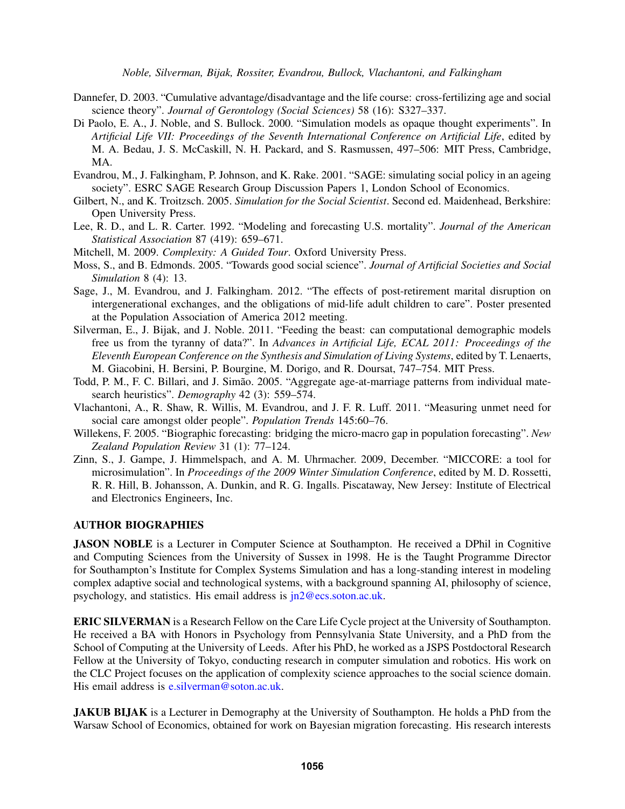- Dannefer, D. 2003. "Cumulative advantage/disadvantage and the life course: cross-fertilizing age and social science theory". *Journal of Gerontology (Social Sciences)* 58 (16): S327–337.
- Di Paolo, E. A., J. Noble, and S. Bullock. 2000. "Simulation models as opaque thought experiments". In *Artificial Life VII: Proceedings of the Seventh International Conference on Artificial Life*, edited by M. A. Bedau, J. S. McCaskill, N. H. Packard, and S. Rasmussen, 497–506: MIT Press, Cambridge, MA.
- Evandrou, M., J. Falkingham, P. Johnson, and K. Rake. 2001. "SAGE: simulating social policy in an ageing society". ESRC SAGE Research Group Discussion Papers 1, London School of Economics.
- Gilbert, N., and K. Troitzsch. 2005. *Simulation for the Social Scientist*. Second ed. Maidenhead, Berkshire: Open University Press.
- Lee, R. D., and L. R. Carter. 1992. "Modeling and forecasting U.S. mortality". *Journal of the American Statistical Association* 87 (419): 659–671.
- Mitchell, M. 2009. *Complexity: A Guided Tour*. Oxford University Press.
- Moss, S., and B. Edmonds. 2005. "Towards good social science". *Journal of Artificial Societies and Social Simulation* 8 (4): 13.
- Sage, J., M. Evandrou, and J. Falkingham. 2012. "The effects of post-retirement marital disruption on intergenerational exchanges, and the obligations of mid-life adult children to care". Poster presented at the Population Association of America 2012 meeting.
- Silverman, E., J. Bijak, and J. Noble. 2011. "Feeding the beast: can computational demographic models free us from the tyranny of data?". In *Advances in Artificial Life, ECAL 2011: Proceedings of the Eleventh European Conference on the Synthesis and Simulation of Living Systems*, edited by T. Lenaerts, M. Giacobini, H. Bersini, P. Bourgine, M. Dorigo, and R. Doursat, 747–754. MIT Press.
- Todd, P. M., F. C. Billari, and J. Simão. 2005. "Aggregate age-at-marriage patterns from individual matesearch heuristics". *Demography* 42 (3): 559–574.
- Vlachantoni, A., R. Shaw, R. Willis, M. Evandrou, and J. F. R. Luff. 2011. "Measuring unmet need for social care amongst older people". *Population Trends* 145:60–76.
- Willekens, F. 2005. "Biographic forecasting: bridging the micro-macro gap in population forecasting". *New Zealand Population Review* 31 (1): 77–124.
- Zinn, S., J. Gampe, J. Himmelspach, and A. M. Uhrmacher. 2009, December. "MICCORE: a tool for microsimulation". In *Proceedings of the 2009 Winter Simulation Conference*, edited by M. D. Rossetti, R. R. Hill, B. Johansson, A. Dunkin, and R. G. Ingalls. Piscataway, New Jersey: Institute of Electrical and Electronics Engineers, Inc.

# AUTHOR BIOGRAPHIES

JASON NOBLE is a Lecturer in Computer Science at Southampton. He received a DPhil in Cognitive and Computing Sciences from the University of Sussex in 1998. He is the Taught Programme Director for Southampton's Institute for Complex Systems Simulation and has a long-standing interest in modeling complex adaptive social and technological systems, with a background spanning AI, philosophy of science, psychology, and statistics. His email address is jn2@ecs.soton.ac.uk.

ERIC SILVERMAN is a Research Fellow on the Care Life Cycle project at the University of Southampton. He received a BA with Honors in Psychology from Pennsylvania State University, and a PhD from the School of Computing at the University of Leeds. After his PhD, he worked as a JSPS Postdoctoral Research Fellow at the University of Tokyo, conducting research in computer simulation and robotics. His work on the CLC Project focuses on the application of complexity science approaches to the social science domain. His email address is e.silverman@soton.ac.uk.

JAKUB BIJAK is a Lecturer in Demography at the University of Southampton. He holds a PhD from the Warsaw School of Economics, obtained for work on Bayesian migration forecasting. His research interests